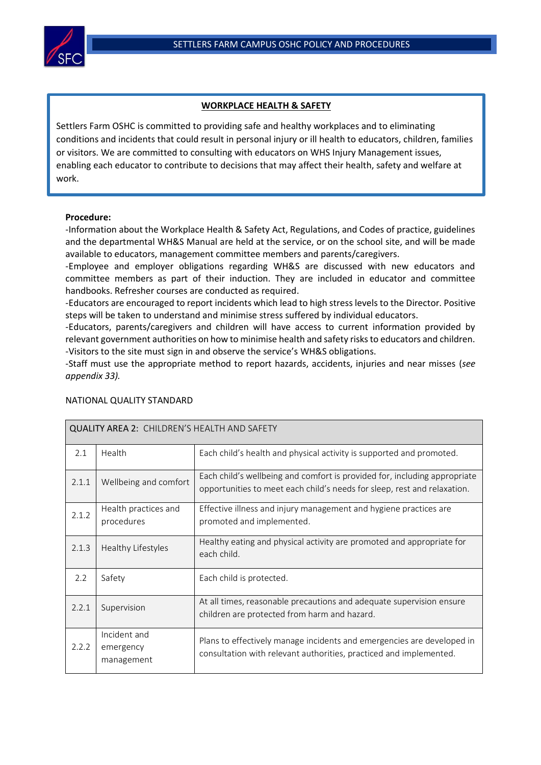

## **WORKPLACE HEALTH & SAFETY**

Settlers Farm OSHC is committed to providing safe and healthy workplaces and to eliminating conditions and incidents that could result in personal injury or ill health to educators, children, families or visitors. We are committed to consulting with educators on WHS Injury Management issues, enabling each educator to contribute to decisions that may affect their health, safety and welfare at work.

## **Procedure:**

 $\overline{a}$ 

-Information about the Workplace Health & Safety Act, Regulations, and Codes of practice, guidelines and the departmental WH&S Manual are held at the service, or on the school site, and will be made available to educators, management committee members and parents/caregivers.

-Employee and employer obligations regarding WH&S are discussed with new educators and committee members as part of their induction. They are included in educator and committee handbooks. Refresher courses are conducted as required.

-Educators are encouraged to report incidents which lead to high stress levels to the Director. Positive steps will be taken to understand and minimise stress suffered by individual educators.

-Educators, parents/caregivers and children will have access to current information provided by relevant government authorities on how to minimise health and safety risks to educators and children. -Visitors to the site must sign in and observe the service's WH&S obligations.

-Staff must use the appropriate method to report hazards, accidents, injuries and near misses (*see appendix 33).*

| <b>QUALITY AREA 2: CHILDREN'S HEALTH AND SAFETY</b> |                                         |                                                                                                                                                       |  |  |  |
|-----------------------------------------------------|-----------------------------------------|-------------------------------------------------------------------------------------------------------------------------------------------------------|--|--|--|
| 2.1                                                 | Health                                  | Each child's health and physical activity is supported and promoted.                                                                                  |  |  |  |
| 2.1.1                                               | Wellbeing and comfort                   | Each child's wellbeing and comfort is provided for, including appropriate<br>opportunities to meet each child's needs for sleep, rest and relaxation. |  |  |  |
| 2.1.2                                               | Health practices and<br>procedures      | Effective illness and injury management and hygiene practices are<br>promoted and implemented.                                                        |  |  |  |
| 2.1.3                                               | Healthy Lifestyles                      | Healthy eating and physical activity are promoted and appropriate for<br>each child.                                                                  |  |  |  |
| 2.2                                                 | Safety                                  | Each child is protected.                                                                                                                              |  |  |  |
| 2.2.1                                               | Supervision                             | At all times, reasonable precautions and adequate supervision ensure<br>children are protected from harm and hazard.                                  |  |  |  |
| 2.2.2                                               | Incident and<br>emergency<br>management | Plans to effectively manage incidents and emergencies are developed in<br>consultation with relevant authorities, practiced and implemented.          |  |  |  |

## NATIONAL QUALITY STANDARD